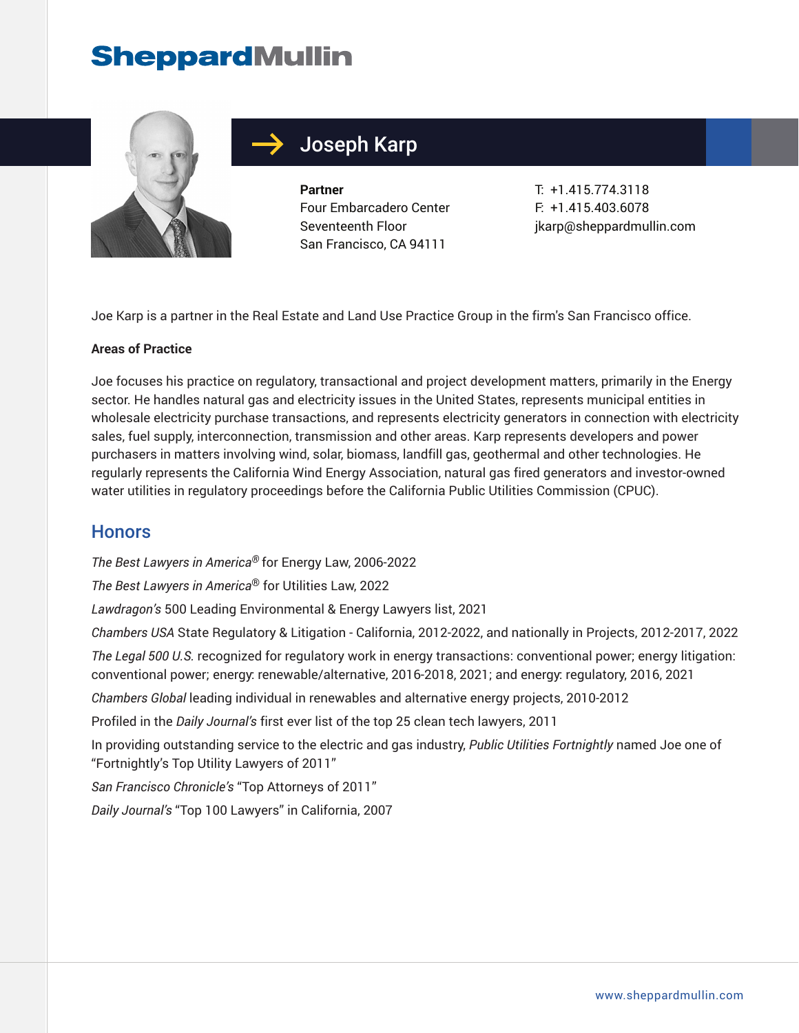# **SheppardMullin**



## Joseph Karp

**Partner** Four Embarcadero Center Seventeenth Floor San Francisco, CA 94111

T: +1.415.774.3118 F: +1.415.403.6078 jkarp@sheppardmullin.com

Joe Karp is a partner in the Real Estate and Land Use Practice Group in the firm's San Francisco office.

#### **Areas of Practice**

Joe focuses his practice on regulatory, transactional and project development matters, primarily in the Energy sector. He handles natural gas and electricity issues in the United States, represents municipal entities in wholesale electricity purchase transactions, and represents electricity generators in connection with electricity sales, fuel supply, interconnection, transmission and other areas. Karp represents developers and power purchasers in matters involving wind, solar, biomass, landfill gas, geothermal and other technologies. He regularly represents the California Wind Energy Association, natural gas fired generators and investor-owned water utilities in regulatory proceedings before the California Public Utilities Commission (CPUC).

#### **Honors**

*The Best Lawyers in America®* for Energy Law, 2006-2022

*The Best Lawyers in America*® for Utilities Law, 2022

*Lawdragon's* 500 Leading Environmental & Energy Lawyers list, 2021

*Chambers USA* State Regulatory & Litigation - California, 2012-2022, and nationally in Projects, 2012-2017, 2022

*The Legal 500 U.S.* recognized for regulatory work in energy transactions: conventional power; energy litigation: conventional power; energy: renewable/alternative, 2016-2018, 2021; and energy: regulatory, 2016, 2021

*Chambers Global* leading individual in renewables and alternative energy projects, 2010-2012

Profiled in the *Daily Journal's* first ever list of the top 25 clean tech lawyers, 2011

In providing outstanding service to the electric and gas industry, *Public Utilities Fortnightly* named Joe one of "Fortnightly's Top Utility Lawyers of 2011"

*San Francisco Chronicle's* "Top Attorneys of 2011"

*Daily Journal's* "Top 100 Lawyers" in California, 2007